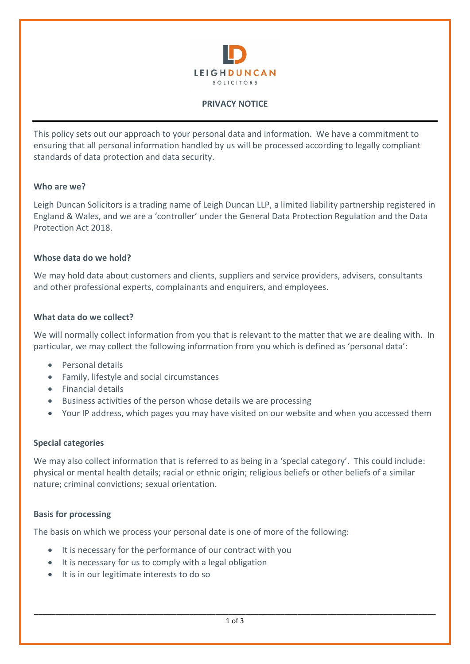

### **PRIVACY NOTICE**

This policy sets out our approach to your personal data and information. We have a commitment to ensuring that all personal information handled by us will be processed according to legally compliant standards of data protection and data security.

### **Who are we?**

Leigh Duncan Solicitors is a trading name of Leigh Duncan LLP, a limited liability partnership registered in England & Wales, and we are a 'controller' under the General Data Protection Regulation and the Data Protection Act 2018.

### **Whose data do we hold?**

We may hold data about customers and clients, suppliers and service providers, advisers, consultants and other professional experts, complainants and enquirers, and employees.

### **What data do we collect?**

We will normally collect information from you that is relevant to the matter that we are dealing with. In particular, we may collect the following information from you which is defined as 'personal data':

- Personal details
- Family, lifestyle and social circumstances
- Financial details
- Business activities of the person whose details we are processing
- Your IP address, which pages you may have visited on our website and when you accessed them

### **Special categories**

We may also collect information that is referred to as being in a 'special category'. This could include: physical or mental health details; racial or ethnic origin; religious beliefs or other beliefs of a similar nature; criminal convictions; sexual orientation.

### **Basis for processing**

The basis on which we process your personal date is one of more of the following:

- It is necessary for the performance of our contract with you
- It is necessary for us to comply with a legal obligation
- It is in our legitimate interests to do so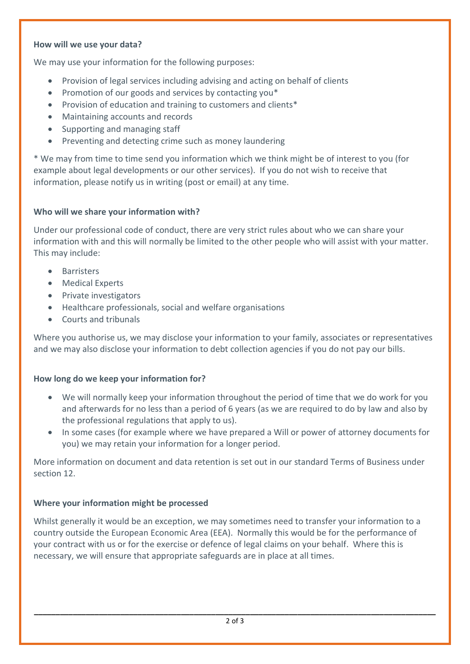### **How will we use your data?**

We may use your information for the following purposes:

- Provision of legal services including advising and acting on behalf of clients
- Promotion of our goods and services by contacting you\*
- Provision of education and training to customers and clients\*
- Maintaining accounts and records
- Supporting and managing staff
- Preventing and detecting crime such as money laundering

\* We may from time to time send you information which we think might be of interest to you (for example about legal developments or our other services). If you do not wish to receive that information, please notify us in writing (post or email) at any time.

## **Who will we share your information with?**

Under our professional code of conduct, there are very strict rules about who we can share your information with and this will normally be limited to the other people who will assist with your matter. This may include:

- Barristers
- Medical Experts
- Private investigators
- Healthcare professionals, social and welfare organisations
- Courts and tribunals

Where you authorise us, we may disclose your information to your family, associates or representatives and we may also disclose your information to debt collection agencies if you do not pay our bills.

## **How long do we keep your information for?**

- We will normally keep your information throughout the period of time that we do work for you and afterwards for no less than a period of 6 years (as we are required to do by law and also by the professional regulations that apply to us).
- In some cases (for example where we have prepared a Will or power of attorney documents for you) we may retain your information for a longer period.

More information on document and data retention is set out in our standard Terms of Business under section 12.

## **Where your information might be processed**

Whilst generally it would be an exception, we may sometimes need to transfer your information to a country outside the European Economic Area (EEA). Normally this would be for the performance of your contract with us or for the exercise or defence of legal claims on your behalf. Where this is necessary, we will ensure that appropriate safeguards are in place at all times.